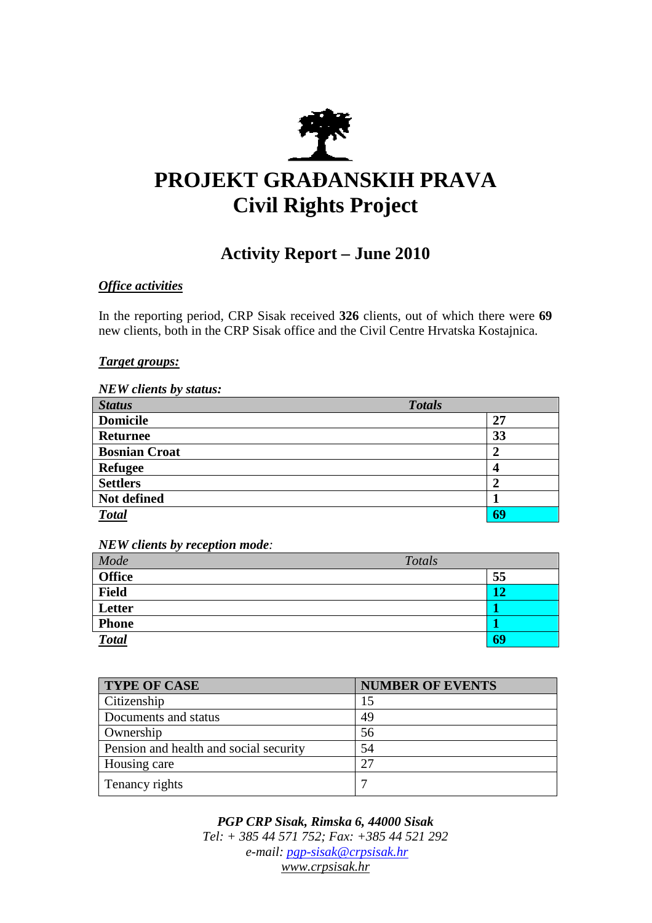

# **PROJEKT GRA**ð**ANSKIH PRAVA Civil Rights Project**

# **Activity Report – June 2010**

## *Office activities*

In the reporting period, CRP Sisak received **326** clients, out of which there were **69**  new clients, both in the CRP Sisak office and the Civil Centre Hrvatska Kostajnica.

#### *Target groups:*

| <b>NEW</b> clients by status: |                         |
|-------------------------------|-------------------------|
| <b>Status</b>                 | <b>Totals</b>           |
| <b>Domicile</b>               | 27                      |
| <b>Returnee</b>               | 33                      |
| <b>Bosnian Croat</b>          | $\boldsymbol{2}$        |
| <b>Refugee</b>                | $\overline{\mathbf{4}}$ |
| <b>Settlers</b>               | $\overline{2}$          |
| Not defined                   |                         |
| <b>Total</b>                  | 69                      |

*NEW clients by reception mode:* 

| Mode          | Totals |    |
|---------------|--------|----|
| <b>Office</b> |        | 55 |
| Field         |        | 12 |
| Letter        |        |    |
| <b>Phone</b>  |        |    |
| <b>Total</b>  |        | 69 |

| <b>TYPE OF CASE</b>                    | <b>NUMBER OF EVENTS</b> |
|----------------------------------------|-------------------------|
| Citizenship                            | 15                      |
| Documents and status                   | 49                      |
| Ownership                              | 56                      |
| Pension and health and social security | 54                      |
| Housing care                           | 27                      |
| Tenancy rights                         |                         |

*PGP CRP Sisak, Rimska 6, 44000 Sisak Tel: + 385 44 571 752; Fax: +385 44 521 292 e-mail: pgp-sisak@crpsisak.hr www.crpsisak.hr*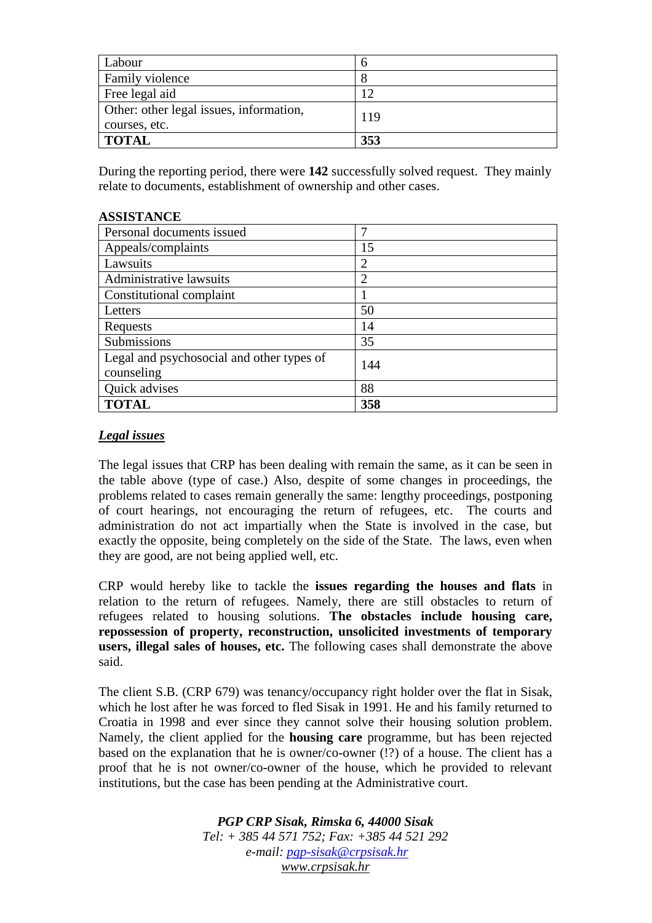| Labour                                  |     |
|-----------------------------------------|-----|
| Family violence                         |     |
| Free legal aid                          | 12  |
| Other: other legal issues, information, | 119 |
| courses, etc.                           |     |
| <b>TOTAL</b>                            | 353 |

During the reporting period, there were **142** successfully solved request. They mainly relate to documents, establishment of ownership and other cases.

#### **ASSISTANCE**

| Personal documents issued                               | ┑              |
|---------------------------------------------------------|----------------|
| Appeals/complaints                                      | 15             |
| Lawsuits                                                | 2              |
| Administrative lawsuits                                 | $\overline{2}$ |
| Constitutional complaint                                |                |
| Letters                                                 | 50             |
| Requests                                                | 14             |
| Submissions                                             | 35             |
| Legal and psychosocial and other types of<br>counseling | 144            |
| Quick advises                                           | 88             |
| <b>TOTAL</b>                                            | 358            |

### *Legal issues*

The legal issues that CRP has been dealing with remain the same, as it can be seen in the table above (type of case.) Also, despite of some changes in proceedings, the problems related to cases remain generally the same: lengthy proceedings, postponing of court hearings, not encouraging the return of refugees, etc. The courts and administration do not act impartially when the State is involved in the case, but exactly the opposite, being completely on the side of the State. The laws, even when they are good, are not being applied well, etc.

CRP would hereby like to tackle the **issues regarding the houses and flats** in relation to the return of refugees. Namely, there are still obstacles to return of refugees related to housing solutions. **The obstacles include housing care, repossession of property, reconstruction, unsolicited investments of temporary users, illegal sales of houses, etc.** The following cases shall demonstrate the above said.

The client S.B. (CRP 679) was tenancy/occupancy right holder over the flat in Sisak, which he lost after he was forced to fled Sisak in 1991. He and his family returned to Croatia in 1998 and ever since they cannot solve their housing solution problem. Namely, the client applied for the **housing care** programme, but has been rejected based on the explanation that he is owner/co-owner (!?) of a house. The client has a proof that he is not owner/co-owner of the house, which he provided to relevant institutions, but the case has been pending at the Administrative court.

> *PGP CRP Sisak, Rimska 6, 44000 Sisak Tel: + 385 44 571 752; Fax: +385 44 521 292 e-mail: pgp-sisak@crpsisak.hr www.crpsisak.hr*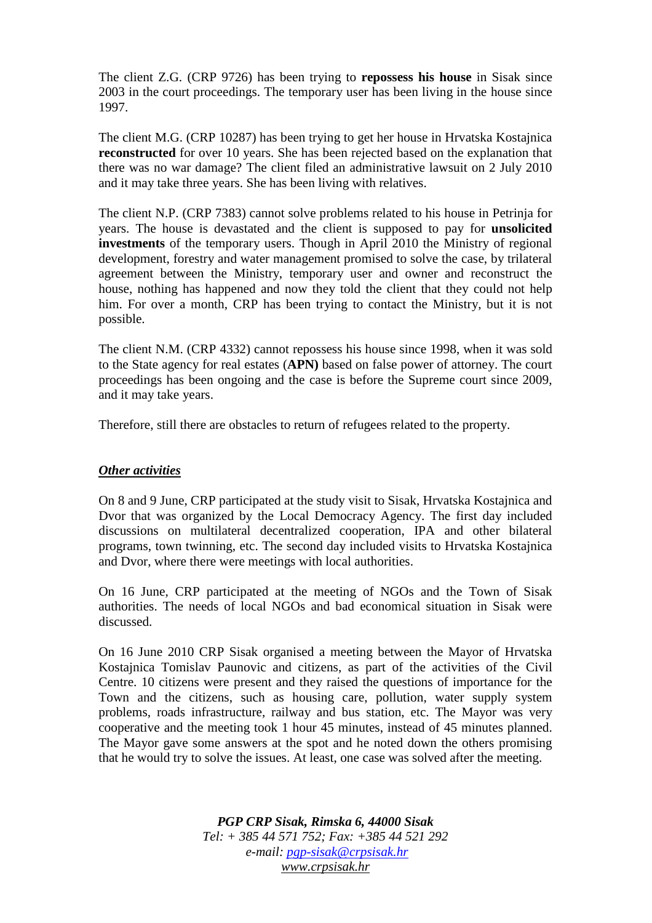The client Z.G. (CRP 9726) has been trying to **repossess his house** in Sisak since 2003 in the court proceedings. The temporary user has been living in the house since 1997.

The client M.G. (CRP 10287) has been trying to get her house in Hrvatska Kostajnica **reconstructed** for over 10 years. She has been rejected based on the explanation that there was no war damage? The client filed an administrative lawsuit on 2 July 2010 and it may take three years. She has been living with relatives.

The client N.P. (CRP 7383) cannot solve problems related to his house in Petrinja for years. The house is devastated and the client is supposed to pay for **unsolicited investments** of the temporary users. Though in April 2010 the Ministry of regional development, forestry and water management promised to solve the case, by trilateral agreement between the Ministry, temporary user and owner and reconstruct the house, nothing has happened and now they told the client that they could not help him. For over a month, CRP has been trying to contact the Ministry, but it is not possible.

The client N.M. (CRP 4332) cannot repossess his house since 1998, when it was sold to the State agency for real estates (**APN)** based on false power of attorney. The court proceedings has been ongoing and the case is before the Supreme court since 2009, and it may take years.

Therefore, still there are obstacles to return of refugees related to the property.

#### *Other activities*

On 8 and 9 June, CRP participated at the study visit to Sisak, Hrvatska Kostajnica and Dvor that was organized by the Local Democracy Agency. The first day included discussions on multilateral decentralized cooperation, IPA and other bilateral programs, town twinning, etc. The second day included visits to Hrvatska Kostajnica and Dvor, where there were meetings with local authorities.

On 16 June, CRP participated at the meeting of NGOs and the Town of Sisak authorities. The needs of local NGOs and bad economical situation in Sisak were discussed.

On 16 June 2010 CRP Sisak organised a meeting between the Mayor of Hrvatska Kostajnica Tomislav Paunovic and citizens, as part of the activities of the Civil Centre. 10 citizens were present and they raised the questions of importance for the Town and the citizens, such as housing care, pollution, water supply system problems, roads infrastructure, railway and bus station, etc. The Mayor was very cooperative and the meeting took 1 hour 45 minutes, instead of 45 minutes planned. The Mayor gave some answers at the spot and he noted down the others promising that he would try to solve the issues. At least, one case was solved after the meeting.

> *PGP CRP Sisak, Rimska 6, 44000 Sisak Tel: + 385 44 571 752; Fax: +385 44 521 292 e-mail: pgp-sisak@crpsisak.hr www.crpsisak.hr*